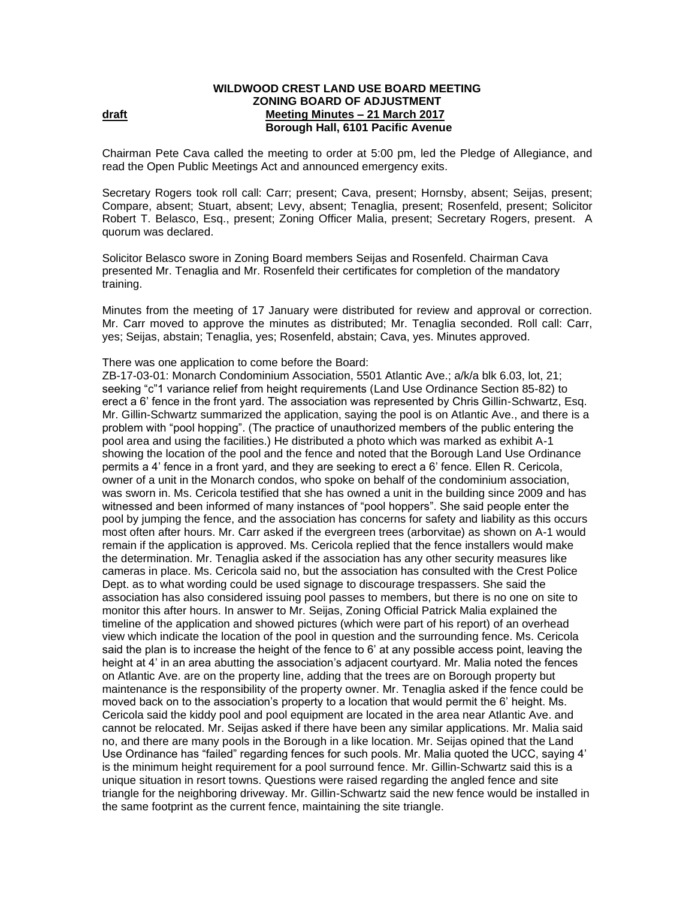## **WILDWOOD CREST LAND USE BOARD MEETING ZONING BOARD OF ADJUSTMENT draft Meeting Minutes – 21 March 2017 Borough Hall, 6101 Pacific Avenue**

Chairman Pete Cava called the meeting to order at 5:00 pm, led the Pledge of Allegiance, and read the Open Public Meetings Act and announced emergency exits.

Secretary Rogers took roll call: Carr; present; Cava, present; Hornsby, absent; Seijas, present; Compare, absent; Stuart, absent; Levy, absent; Tenaglia, present; Rosenfeld, present; Solicitor Robert T. Belasco, Esq., present; Zoning Officer Malia, present; Secretary Rogers, present.A quorum was declared.

Solicitor Belasco swore in Zoning Board members Seijas and Rosenfeld. Chairman Cava presented Mr. Tenaglia and Mr. Rosenfeld their certificates for completion of the mandatory training.

Minutes from the meeting of 17 January were distributed for review and approval or correction. Mr. Carr moved to approve the minutes as distributed; Mr. Tenaglia seconded. Roll call: Carr, yes; Seijas, abstain; Tenaglia, yes; Rosenfeld, abstain; Cava, yes. Minutes approved.

## There was one application to come before the Board:

ZB-17-03-01: Monarch Condominium Association, 5501 Atlantic Ave.; a/k/a blk 6.03, lot, 21; seeking "c"1 variance relief from height requirements (Land Use Ordinance Section 85-82) to erect a 6' fence in the front yard. The association was represented by Chris Gillin-Schwartz, Esq. Mr. Gillin-Schwartz summarized the application, saying the pool is on Atlantic Ave., and there is a problem with "pool hopping". (The practice of unauthorized members of the public entering the pool area and using the facilities.) He distributed a photo which was marked as exhibit A-1 showing the location of the pool and the fence and noted that the Borough Land Use Ordinance permits a 4' fence in a front yard, and they are seeking to erect a 6' fence. Ellen R. Cericola, owner of a unit in the Monarch condos, who spoke on behalf of the condominium association, was sworn in. Ms. Cericola testified that she has owned a unit in the building since 2009 and has witnessed and been informed of many instances of "pool hoppers". She said people enter the pool by jumping the fence, and the association has concerns for safety and liability as this occurs most often after hours. Mr. Carr asked if the evergreen trees (arborvitae) as shown on A-1 would remain if the application is approved. Ms. Cericola replied that the fence installers would make the determination. Mr. Tenaglia asked if the association has any other security measures like cameras in place. Ms. Cericola said no, but the association has consulted with the Crest Police Dept. as to what wording could be used signage to discourage trespassers. She said the association has also considered issuing pool passes to members, but there is no one on site to monitor this after hours. In answer to Mr. Seijas, Zoning Official Patrick Malia explained the timeline of the application and showed pictures (which were part of his report) of an overhead view which indicate the location of the pool in question and the surrounding fence. Ms. Cericola said the plan is to increase the height of the fence to 6' at any possible access point, leaving the height at 4' in an area abutting the association's adjacent courtyard. Mr. Malia noted the fences on Atlantic Ave. are on the property line, adding that the trees are on Borough property but maintenance is the responsibility of the property owner. Mr. Tenaglia asked if the fence could be moved back on to the association's property to a location that would permit the 6' height. Ms. Cericola said the kiddy pool and pool equipment are located in the area near Atlantic Ave. and cannot be relocated. Mr. Seijas asked if there have been any similar applications. Mr. Malia said no, and there are many pools in the Borough in a like location. Mr. Seijas opined that the Land Use Ordinance has "failed" regarding fences for such pools. Mr. Malia quoted the UCC, saying 4' is the minimum height requirement for a pool surround fence. Mr. Gillin-Schwartz said this is a unique situation in resort towns. Questions were raised regarding the angled fence and site triangle for the neighboring driveway. Mr. Gillin-Schwartz said the new fence would be installed in the same footprint as the current fence, maintaining the site triangle.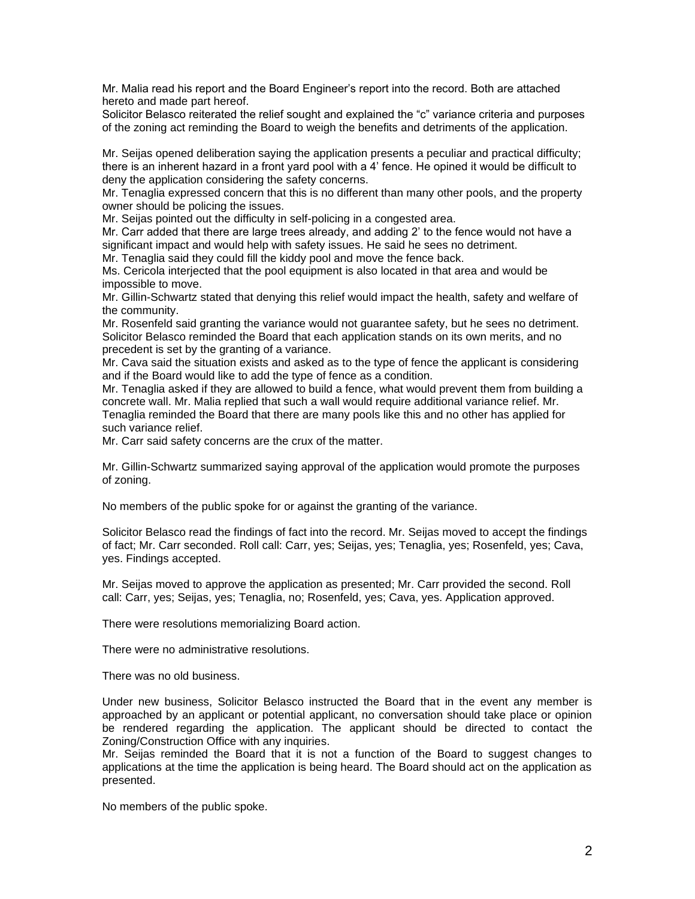Mr. Malia read his report and the Board Engineer's report into the record. Both are attached hereto and made part hereof.

Solicitor Belasco reiterated the relief sought and explained the "c" variance criteria and purposes of the zoning act reminding the Board to weigh the benefits and detriments of the application.

Mr. Seijas opened deliberation saying the application presents a peculiar and practical difficulty; there is an inherent hazard in a front yard pool with a 4' fence. He opined it would be difficult to deny the application considering the safety concerns.

Mr. Tenaglia expressed concern that this is no different than many other pools, and the property owner should be policing the issues.

Mr. Seijas pointed out the difficulty in self-policing in a congested area.

Mr. Carr added that there are large trees already, and adding 2' to the fence would not have a significant impact and would help with safety issues. He said he sees no detriment.

Mr. Tenaglia said they could fill the kiddy pool and move the fence back.

Ms. Cericola interjected that the pool equipment is also located in that area and would be impossible to move.

Mr. Gillin-Schwartz stated that denying this relief would impact the health, safety and welfare of the community.

Mr. Rosenfeld said granting the variance would not guarantee safety, but he sees no detriment. Solicitor Belasco reminded the Board that each application stands on its own merits, and no precedent is set by the granting of a variance.

Mr. Cava said the situation exists and asked as to the type of fence the applicant is considering and if the Board would like to add the type of fence as a condition.

Mr. Tenaglia asked if they are allowed to build a fence, what would prevent them from building a concrete wall. Mr. Malia replied that such a wall would require additional variance relief. Mr. Tenaglia reminded the Board that there are many pools like this and no other has applied for such variance relief.

Mr. Carr said safety concerns are the crux of the matter.

Mr. Gillin-Schwartz summarized saying approval of the application would promote the purposes of zoning.

No members of the public spoke for or against the granting of the variance.

Solicitor Belasco read the findings of fact into the record. Mr. Seijas moved to accept the findings of fact; Mr. Carr seconded. Roll call: Carr, yes; Seijas, yes; Tenaglia, yes; Rosenfeld, yes; Cava, yes. Findings accepted.

Mr. Seijas moved to approve the application as presented; Mr. Carr provided the second. Roll call: Carr, yes; Seijas, yes; Tenaglia, no; Rosenfeld, yes; Cava, yes. Application approved.

There were resolutions memorializing Board action.

There were no administrative resolutions.

There was no old business.

Under new business, Solicitor Belasco instructed the Board that in the event any member is approached by an applicant or potential applicant, no conversation should take place or opinion be rendered regarding the application. The applicant should be directed to contact the Zoning/Construction Office with any inquiries.

Mr. Seijas reminded the Board that it is not a function of the Board to suggest changes to applications at the time the application is being heard. The Board should act on the application as presented.

No members of the public spoke.